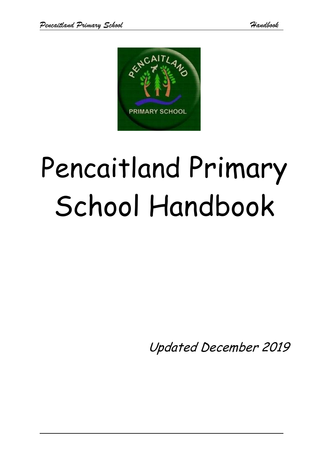

# Pencaitland Primary School Handbook

Updated December 2019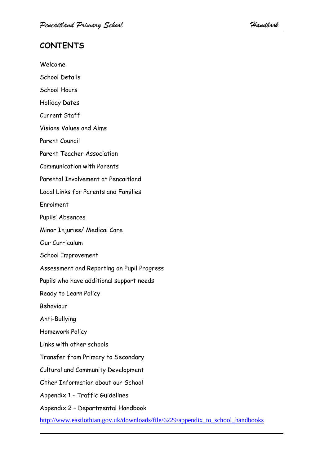# **CONTENTS**

Welcome School Details School Hours Holiday Dates Current Staff Visions Values and Aims Parent Council Parent Teacher Association Communication with Parents Parental Involvement at Pencaitland Local Links for Parents and Families Enrolment Pupils' Absences Minor Injuries/ Medical Care Our Curriculum School Improvement Assessment and Reporting on Pupil Progress Pupils who have additional support needs Ready to Learn Policy Behaviour Anti-Bullying Homework Policy Links with other schools Transfer from Primary to Secondary Cultural and Community Development Other Information about our School Appendix 1 - Traffic Guidelines Appendix 2 – Departmental Handbook

[http://www.eastlothian.gov.uk/downloads/file/6229/appendix\\_to\\_school\\_handbooks](http://www.eastlothian.gov.uk/downloads/file/6229/appendix_to_school_handbooks)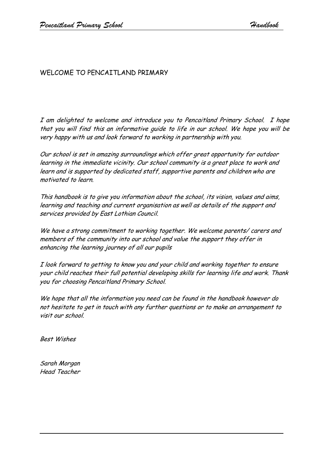# WELCOME TO PENCAITLAND PRIMARY

I am delighted to welcome and introduce you to Pencaitland Primary School. I hope that you will find this an informative guide to life in our school. We hope you will be very happy with us and look forward to working in partnership with you.

Our school is set in amazing surroundings which offer great opportunity for outdoor learning in the immediate vicinity. Our school community is a great place to work and learn and is supported by dedicated staff, supportive parents and children who are motivated to learn.

This handbook is to give you information about the school, its vision, values and aims, learning and teaching and current organisation as well as details of the support and services provided by East Lothian Council.

We have a strong commitment to working together. We welcome parents/ carers and members of the community into our school and value the support they offer in enhancing the learning journey of all our pupils

I look forward to getting to know you and your child and working together to ensure your child reaches their full potential developing skills for learning life and work. Thank you for choosing Pencaitland Primary School.

We hope that all the information you need can be found in the handbook however do not hesitate to get in touch with any further questions or to make an arrangement to visit our school.

Best Wishes

Sarah Morgan Head Teacher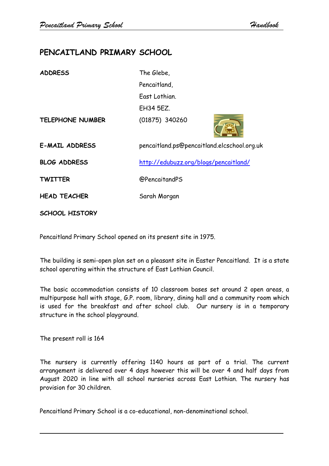# **PENCAITLAND PRIMARY SCHOOL**

| <b>ADDRESS</b>          | The Glebe,                                  |
|-------------------------|---------------------------------------------|
|                         | Pencaitland,                                |
|                         | East Lothian.                               |
|                         | <b>EH34 5EZ.</b>                            |
| <b>TELEPHONE NUMBER</b> | (01875) 340260                              |
| <b>E-MAIL ADDRESS</b>   | pencaitland.ps@pencaitland.elcschool.org.uk |
| <b>BLOG ADDRESS</b>     | http://edubuzz.org/blogs/pencaitland/       |
| <b>TWITTER</b>          | <b>@PencaitandPS</b>                        |
| <b>HEAD TEACHER</b>     | Sarah Morgan                                |
| <b>SCHOOL HISTORY</b>   |                                             |

Pencaitland Primary School opened on its present site in 1975.

The building is semi-open plan set on a pleasant site in Easter Pencaitland. It is a state school operating within the structure of East Lothian Council.

The basic accommodation consists of 10 classroom bases set around 2 open areas, a multipurpose hall with stage, G.P. room, library, dining hall and a community room which is used for the breakfast and after school club. Our nursery is in a temporary structure in the school playground.

The present roll is 164

The nursery is currently offering 1140 hours as part of a trial. The current arrangement is delivered over 4 days however this will be over 4 and half days from August 2020 in line with all school nurseries across East Lothian. The nursery has provision for 30 children.

Pencaitland Primary School is a co-educational, non-denominational school.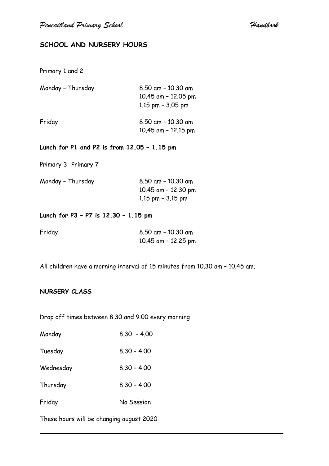# **SCHOOL AND NURSERY HOURS**

Primary 1 and 2

| Monday - Thursday | 8.50 am - 10.30 am<br>10.45 am - 12.05 pm<br>1.15 pm $-$ 3.05 pm |  |  |
|-------------------|------------------------------------------------------------------|--|--|
| Friday            | 8.50 am - 10.30 am<br>10.45 am - 12.15 pm                        |  |  |

**Lunch for P1 and P2 is from 12.05 – 1.15 pm**

Primary 3- Primary 7

| 10.45 am - 12.30 pm |
|---------------------|
| 1.15 pm $-$ 3.15 pm |
|                     |

### **Lunch for P3 – P7 is 12.30 – 1.15 pm**

| Friday | 8.50 am - 10.30 am  |
|--------|---------------------|
|        | 10.45 am - 12.25 pm |

All children have a morning interval of 15 minutes from 10.30 am – 10.45 am.

#### **NURSERY CLASS**

Drop off times between 8.30 and 9.00 every morning

| Monday    | $8.30 - 4.00$ |
|-----------|---------------|
| Tuesday   | $8.30 - 4.00$ |
| Wednesday | $8.30 - 4.00$ |
| Thursday  | $8.30 - 4.00$ |
| Friday    | No Session    |

These hours will be changing august 2020.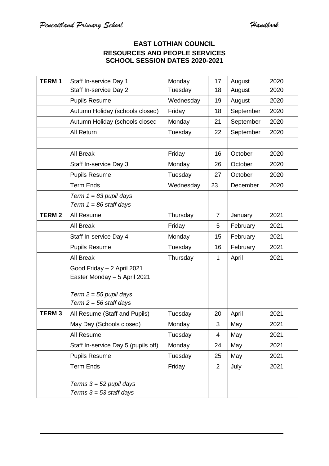# **EAST LOTHIAN COUNCIL RESOURCES AND PEOPLE SERVICES SCHOOL SESSION DATES 2020-2021**

| <b>TERM1</b> | Staff In-service Day 1                                                                                             | Monday    | 17             | August    | 2020 |
|--------------|--------------------------------------------------------------------------------------------------------------------|-----------|----------------|-----------|------|
|              | Staff In-service Day 2                                                                                             | Tuesday   | 18             | August    | 2020 |
|              | <b>Pupils Resume</b>                                                                                               | Wednesday | 19             | August    | 2020 |
|              | Autumn Holiday (schools closed)                                                                                    | Friday    | 18             | September | 2020 |
|              | Autumn Holiday (schools closed                                                                                     | Monday    | 21             | September | 2020 |
|              | All Return                                                                                                         | Tuesday   | 22             | September | 2020 |
|              |                                                                                                                    |           |                |           |      |
|              | All Break                                                                                                          | Friday    | 16             | October   | 2020 |
|              | Staff In-service Day 3                                                                                             | Monday    | 26             | October   | 2020 |
|              | <b>Pupils Resume</b>                                                                                               | Tuesday   | 27             | October   | 2020 |
|              | <b>Term Ends</b>                                                                                                   | Wednesday | 23             | December  | 2020 |
|              | Term $1 = 83$ pupil days<br>Term $1 = 86$ staff days                                                               |           |                |           |      |
| <b>TERM2</b> | All Resume                                                                                                         | Thursday  | $\overline{7}$ | January   | 2021 |
|              | All Break                                                                                                          | Friday    | 5              | February  | 2021 |
|              | Staff In-service Day 4                                                                                             | Monday    | 15             | February  | 2021 |
|              | <b>Pupils Resume</b>                                                                                               | Tuesday   | 16             | February  | 2021 |
|              | All Break                                                                                                          | Thursday  | 1              | April     | 2021 |
|              | Good Friday - 2 April 2021<br>Easter Monday - 5 April 2021<br>Term $2 = 55$ pupil days<br>Term $2 = 56$ staff days |           |                |           |      |
| <b>TERM3</b> | All Resume (Staff and Pupils)                                                                                      | Tuesday   | 20             | April     | 2021 |
|              | May Day (Schools closed)                                                                                           | Monday    | 3              | May       | 2021 |
|              | All Resume                                                                                                         | Tuesday   | 4              | May       | 2021 |
|              | Staff In-service Day 5 (pupils off)                                                                                | Monday    | 24             | May       | 2021 |
|              | <b>Pupils Resume</b>                                                                                               | Tuesday   | 25             | May       | 2021 |
|              | <b>Term Ends</b>                                                                                                   | Friday    | $\overline{2}$ | July      | 2021 |
|              | Terms $3 = 52$ pupil days<br>Terms $3 = 53$ staff days                                                             |           |                |           |      |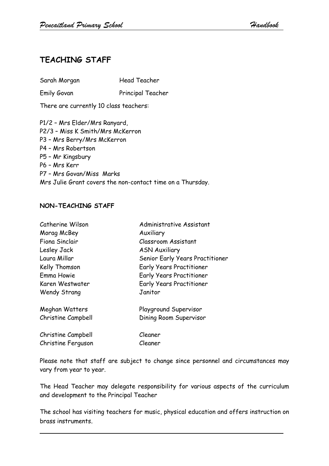# **TEACHING STAFF**

Sarah Morgan Head Teacher

Emily Govan Principal Teacher

There are currently 10 class teachers:

P1/2 – Mrs Elder/Mrs Ranyard, P2/3 – Miss K Smith/Mrs McKerron P3 – Mrs Berry/Mrs McKerron P4 – Mrs Robertson P5 – Mr Kingsbury P6 – Mrs Kerr P7 – Mrs Govan/Miss Marks Mrs Julie Grant covers the non-contact time on a Thursday.

### **NON-TEACHING STAFF**

| Catherine Wilson    | Administrative Assistant        |
|---------------------|---------------------------------|
| Morag McBey         | Auxiliary                       |
| Fiona Sinclair      | <b>Classroom Assistant</b>      |
| Lesley Jack         | <b>ASN Auxiliary</b>            |
| Laura Millar        | Senior Early Years Practitioner |
| Kelly Thomson       | <b>Early Years Practitioner</b> |
| Emma Howie          | <b>Early Years Practitioner</b> |
| Karen Westwater     | <b>Early Years Practitioner</b> |
| <b>Wendy Strang</b> | Janitor                         |
| Meghan Watters      | Playground Supervisor           |
| Christine Campbell  | Dining Room Supervisor          |
| Christine Campbell  | Cleaner                         |
| Christine Ferguson  | Cleaner                         |

Please note that staff are subject to change since personnel and circumstances may vary from year to year.

The Head Teacher may delegate responsibility for various aspects of the curriculum and development to the Principal Teacher

The school has visiting teachers for music, physical education and offers instruction on brass instruments.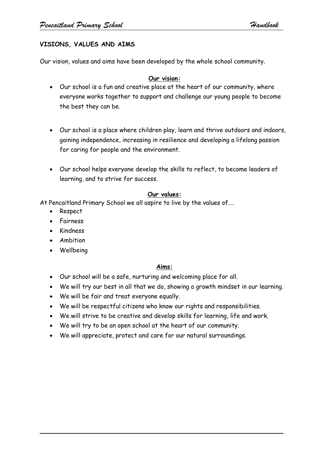# **VISIONS, VALUES AND AIMS**

Our vision, values and aims have been developed by the whole school community.

#### **Our vision:**

- Our school is a fun and creative place at the heart of our community, where everyone works together to support and challenge our young people to become the best they can be.
- Our school is a place where children play, learn and thrive outdoors and indoors, gaining independence, increasing in resilience and developing a lifelong passion for caring for people and the environment.
- Our school helps everyone develop the skills to reflect, to become leaders of learning, and to strive for success.

#### **Our values:**

At Pencaitland Primary School we all aspire to live by the values of….

- Respect
- Fairness
- Kindness
- Ambition
- Wellbeing

## **Aims:**

- Our school will be a safe, nurturing and welcoming place for all.
- We will try our best in all that we do, showing a growth mindset in our learning.
- We will be fair and treat everyone equally.
- We will be respectful citizens who know our rights and responsibilities.
- We will strive to be creative and develop skills for learning, life and work.
- We will try to be an open school at the heart of our community.
- We will appreciate, protect and care for our natural surroundings.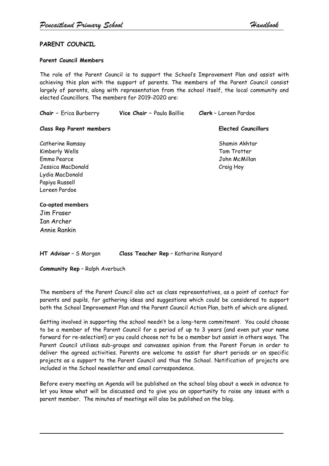#### **PARENT COUNCIL**

#### **Parent Council Members**

The role of the Parent Council is to support the School's Improvement Plan and assist with achieving this plan with the support of parents. The members of the Parent Council consist largely of parents, along with representation from the school itself, the local community and elected Councillors. The members for 2019-2020 are:

| <b>Chair</b> - Erica Burberry                                                                               | Vice Chair - Paula Baillie | <b>Clerk</b> - Loreen Pardoe                               |
|-------------------------------------------------------------------------------------------------------------|----------------------------|------------------------------------------------------------|
| <b>Class Rep Parent members</b>                                                                             |                            | <b>Elected Councillors</b>                                 |
| Catherine Ramsay<br>Kimberly Wells<br>Emma Pearce<br>Jessica MacDonald<br>Lydia MacDonald<br>Papiya Russell |                            | Shamin Akhtar<br>Tom Trotter<br>John McMillan<br>Craig Hoy |
| Loreen Pardoe<br><b>Co-opted members</b><br>Jim Fraser<br>Ian Archer<br>Annie Rankin                        |                            |                                                            |

**HT Advisor** – S Morgan **Class Teacher Rep** – Katharine Ranyard

**Community Rep** – Ralph Averbuch

The members of the Parent Council also act as class representatives, as a point of contact for parents and pupils, for gathering ideas and suggestions which could be considered to support both the School Improvement Plan and the Parent Council Action Plan, both of which are aligned.

Getting involved in supporting the school needn't be a long-term commitment. You could choose to be a member of the Parent Council for a period of up to 3 years (and even put your name forward for re-selection!) or you could choose not to be a member but assist in others ways. The Parent Council utilises sub-groups and canvasses opinion from the Parent Forum in order to deliver the agreed activities. Parents are welcome to assist for short periods or on specific projects as a support to the Parent Council and thus the School. Notification of projects are included in the School newsletter and email correspondence.

Before every meeting an Agenda will be published on the school blog about a week in advance to let you know what will be discussed and to give you an opportunity to raise any issues with a parent member. The minutes of meetings will also be published on the blog.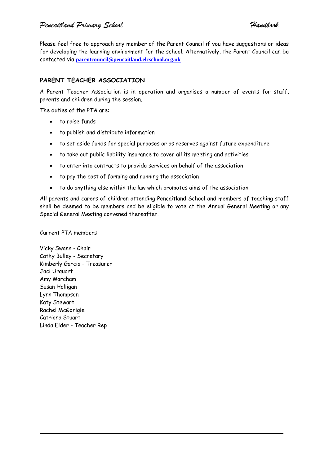Please feel free to approach any member of the Parent Council if you have suggestions or ideas for developing the learning environment for the school. Alternatively, the Parent Council can be contacted via **[parentcouncil@pencaitland.elcschool.org.uk](mailto:parentcouncil@pencaitland.elcschool.org.uk)**

# **PARENT TEACHER ASSOCIATION**

A Parent Teacher Association is in operation and organises a number of events for staff, parents and children during the session.

The duties of the PTA are:

- to raise funds
- to publish and distribute information
- to set aside funds for special purposes or as reserves against future expenditure
- to take out public liability insurance to cover all its meeting and activities
- to enter into contracts to provide services on behalf of the association
- to pay the cost of forming and running the association
- to do anything else within the law which promotes aims of the association

All parents and carers of children attending Pencaitland School and members of teaching staff shall be deemed to be members and be eligible to vote at the Annual General Meeting or any Special General Meeting convened thereafter.

Current PTA members

Vicky Swann - Chair Cathy Bulley - Secretary Kimberly Garcia - Treasurer Jaci Urquart Amy Marcham Susan Holligan Lynn Thompson Katy Stewart Rachel McGonigle Catriona Stuart Linda Elder - Teacher Rep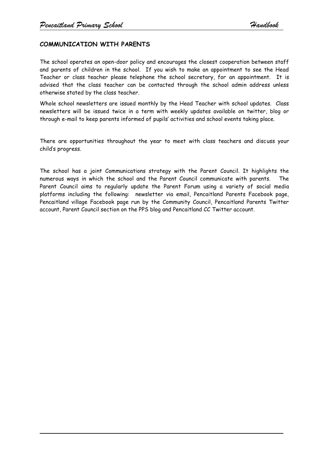#### **COMMUNICATION WITH PARENTS**

The school operates an open-door policy and encourages the closest cooperation between staff and parents of children in the school. If you wish to make an appointment to see the Head Teacher or class teacher please telephone the school secretary, for an appointment. It is advised that the class teacher can be contacted through the school admin address unless otherwise stated by the class teacher.

Whole school newsletters are issued monthly by the Head Teacher with school updates. Class newsletters will be issued twice in a term with weekly updates available on twitter, blog or through e-mail to keep parents informed of pupils' activities and school events taking place.

There are opportunities throughout the year to meet with class teachers and discuss your child's progress.

The school has a joint Communications strategy with the Parent Council. It highlights the numerous ways in which the school and the Parent Council communicate with parents. The Parent Council aims to regularly update the Parent Forum using a variety of social media platforms including the following: newsletter via email, Pencaitland Parents Facebook page, Pencaitland village Facebook page run by the Community Council, Pencaitland Parents Twitter account, Parent Council section on the PPS blog and Pencaitland CC Twitter account.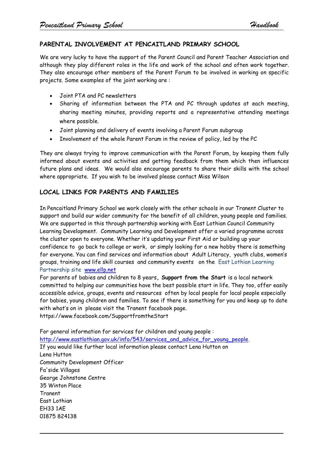### **PARENTAL INVOLVEMENT AT PENCAITLAND PRIMARY SCHOOL**

We are very lucky to have the support of the Parent Council and Parent Teacher Association and although they play different roles in the life and work of the school and often work together. They also encourage other members of the Parent Forum to be involved in working on specific projects. Some examples of the joint working are :

- Joint PTA and PC newsletters
- Sharing of information between the PTA and PC through updates at each meeting, sharing meeting minutes, providing reports and a representative attending meetings where possible.
- Joint planning and delivery of events involving a Parent Forum subgroup
- Involvement of the whole Parent Forum in the review of policy, led by the PC

They are always trying to improve communication with the Parent Forum, by keeping them fully informed about events and activities and getting feedback from them which then influences future plans and ideas. We would also encourage parents to share their skills with the school where appropriate. If you wish to be involved please contact Miss Wilson

#### **LOCAL LINKS FOR PARENTS AND FAMILIES**

In Pencaitland Primary School we work closely with the other schools in our Tranent Cluster to support and build our wider community for the benefit of all children, young people and families. We are supported in this through partnership working with East Lothian Council Community Learning Development. Community Learning and Development offer a varied programme across the cluster open to everyone. Whether it's updating your First Aid or building up your confidence to go back to college or work, or simply looking for a new hobby there is something for everyone. You can find services and information about Adult Literacy, youth clubs, women's groups, training and life skill courses and community events on the East Lothian Learning Partnership site [www.ellp.net](https://mail.elcschool.org.uk/owa/redir.aspx?C=836S80mVOU2jlxe15kEULXL9Wl8KtdAIDlk9wfTS7E2W10z6EHmHvElP9Qht6ppqfzvofi0jIaw.&URL=http%3a%2f%2fwww.ellp.net)

For parents of babies and children to 8 years**, Support from the Start** is a local network committed to helping our communities have the best possible start in life. They too, offer easily accessible advice, groups, events and resources often by local people for local people especially for babies, young children and families. To see if there is something for you and keep up to date with what's on in please visit the Tranent facebook page. https://www.facebook.com/SupportfromtheStart

For general information for services for children and young people : [http://www.eastlothian.gov.uk/info/543/services\\_and\\_advice\\_for\\_young\\_people.](https://mail.elcschool.org.uk/owa/redir.aspx?C=836S80mVOU2jlxe15kEULXL9Wl8KtdAIDlk9wfTS7E2W10z6EHmHvElP9Qht6ppqfzvofi0jIaw.&URL=http%3a%2f%2fwww.eastlothian.gov.uk%2finfo%2f543%2fservices_and_advice_for_young_people) If you would like further local information please contact Lena Hutton on Lena Hutton Community Development Officer Fa'side Villages George Johnstone Centre 35 Winton Place Tranent East Lothian EH33 1AE 01875 824138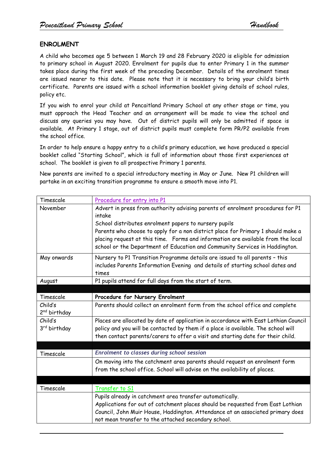#### **ENROLMENT**

A child who becomes age 5 between 1 March 19 and 28 February 2020 is eligible for admission to primary school in August 2020. Enrolment for pupils due to enter Primary 1 in the summer takes place during the first week of the preceding December. Details of the enrolment times are issued nearer to this date. Please note that it is necessary to bring your child's birth certificate. Parents are issued with a school information booklet giving details of school rules, policy etc.

If you wish to enrol your child at Pencaitland Primary School at any other stage or time, you must approach the Head Teacher and an arrangement will be made to view the school and discuss any queries you may have. Out of district pupils will only be admitted if space is available. At Primary 1 stage, out of district pupils must complete form PR/P2 available from the school office.

In order to help ensure a happy entry to a child's primary education, we have produced a special booklet called "Starting School", which is full of information about those first experiences at school. The booklet is given to all prospective Primary 1 parents.

New parents are invited to a special introductory meeting in May or June. New P1 children will partake in an exciting transition programme to ensure a smooth move into P1.

| Timescale                           | Procedure for entry into P1                                                                                                                                                                                                                                                                                                                                                                              |
|-------------------------------------|----------------------------------------------------------------------------------------------------------------------------------------------------------------------------------------------------------------------------------------------------------------------------------------------------------------------------------------------------------------------------------------------------------|
| November                            | Advert in press from authority advising parents of enrolment procedures for P1<br>intake<br>School distributes enrolment papers to nursery pupils<br>Parents who choose to apply for a non district place for Primary 1 should make a<br>placing request at this time. Forms and information are available from the local<br>school or the Department of Education and Community Services in Haddington. |
| May onwards                         | Nursery to P1 Transition Programme details are issued to all parents - this<br>includes Parents Information Evening and details of starting school dates and<br>times                                                                                                                                                                                                                                    |
| August                              | P1 pupils attend for full days from the start of term.                                                                                                                                                                                                                                                                                                                                                   |
|                                     |                                                                                                                                                                                                                                                                                                                                                                                                          |
| Timescale                           | Procedure for Nursery Enrolment                                                                                                                                                                                                                                                                                                                                                                          |
| Child's<br>2 <sup>nd</sup> birthday | Parents should collect an enrolment form from the school office and complete                                                                                                                                                                                                                                                                                                                             |
| Child's<br>3rd birthday             | Places are allocated by date of application in accordance with East Lothian Council<br>policy and you will be contacted by them if a place is available. The school will<br>then contact parents/carers to offer a visit and starting date for their child.                                                                                                                                              |
|                                     |                                                                                                                                                                                                                                                                                                                                                                                                          |
| Timescale                           | Enrolment to classes during school session                                                                                                                                                                                                                                                                                                                                                               |
|                                     | On moving into the catchment area parents should request an enrolment form<br>from the school office. School will advise on the availability of places.                                                                                                                                                                                                                                                  |
|                                     |                                                                                                                                                                                                                                                                                                                                                                                                          |
| Timescale                           | Transfer to S1                                                                                                                                                                                                                                                                                                                                                                                           |
|                                     | Pupils already in catchment area transfer automatically.                                                                                                                                                                                                                                                                                                                                                 |
|                                     | Applications for out of catchment places should be requested from East Lothian                                                                                                                                                                                                                                                                                                                           |
|                                     | Council, John Muir House, Haddington. Attendance at an associated primary does<br>not mean transfer to the attached secondary school.                                                                                                                                                                                                                                                                    |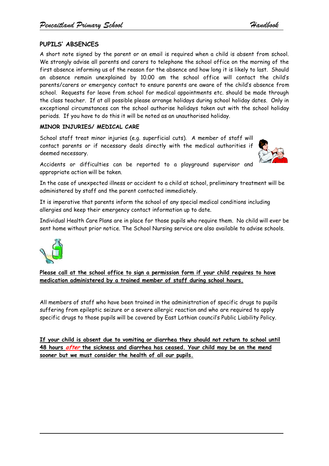# **PUPILS' ABSENCES**

A short note signed by the parent or an email is required when a child is absent from school. We strongly advise all parents and carers to telephone the school office on the morning of the first absence informing us of the reason for the absence and how long it is likely to last. Should an absence remain unexplained by 10.00 am the school office will contact the child's parents/carers or emergency contact to ensure parents are aware of the child's absence from school. Requests for leave from school for medical appointments etc. should be made through the class teacher. If at all possible please arrange holidays during school holiday dates. Only in exceptional circumstances can the school authorise holidays taken out with the school holiday periods. If you have to do this it will be noted as an unauthorised holiday.

# **MINOR INJURIES/ MEDICAL CARE**

School staff treat minor injuries (e.g. superficial cuts). A member of staff will contact parents or if necessary deals directly with the medical authorities if deemed necessary.



Accidents or difficulties can be reported to a playground supervisor and appropriate action will be taken.

In the case of unexpected illness or accident to a child at school, preliminary treatment will be administered by staff and the parent contacted immediately.

It is imperative that parents inform the school of any special medical conditions including allergies and keep their emergency contact information up to date.

Individual Health Care Plans are in place for those pupils who require them. No child will ever be sent home without prior notice. The School Nursing service are also available to advise schools.



**Please call at the school office to sign a permission form if your child requires to have medication administered by a trained member of staff during school hours.**

All members of staff who have been trained in the administration of specific drugs to pupils suffering from epileptic seizure or a severe allergic reaction and who are required to apply specific drugs to those pupils will be covered by East Lothian council's Public Liability Policy.

**If your child is absent due to vomiting or diarrhea they should not return to school until 48 hours after the sickness and diarrhea has ceased. Your child may be on the mend sooner but we must consider the health of all our pupils.**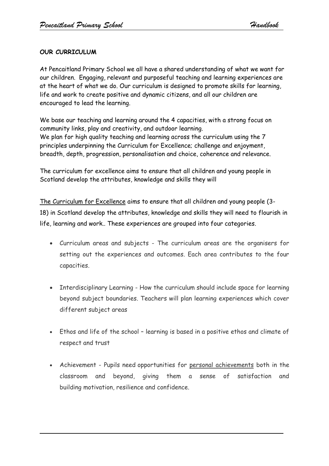# **OUR CURRICULUM**

At Pencaitland Primary School we all have a shared understanding of what we want for our children. Engaging, relevant and purposeful teaching and learning experiences are at the heart of what we do. Our curriculum is designed to promote skills for learning, life and work to create positive and dynamic citizens, and all our children are encouraged to lead the learning.

We base our teaching and learning around the 4 capacities, with a strong focus on community links, play and creativity, and outdoor learning. We plan for high quality teaching and learning across the curriculum using the 7 principles underpinning the Curriculum for Excellence; challenge and enjoyment, breadth, depth, progression, personalisation and choice, coherence and relevance.

The curriculum for excellence aims to ensure that all children and young people in Scotland develop the attributes, knowledge and skills they will

The Curriculum for Excellence aims to ensure that all children and young people (3- 18) in Scotland develop the attributes, knowledge and skills they will need to flourish in life, learning and work.. These experiences are grouped into four categories.

- Curriculum areas and subjects The curriculum areas are the organisers for setting out the experiences and outcomes. Each area contributes to the four capacities.
- Interdisciplinary Learning How the curriculum should include space for learning beyond subject boundaries. Teachers will plan learning experiences which cover different subject areas
- Ethos and life of the school learning is based in a positive ethos and climate of respect and trust
- Achievement Pupils need opportunities for personal achievements both in the classroom and beyond, giving them a sense of satisfaction and building motivation, resilience and confidence.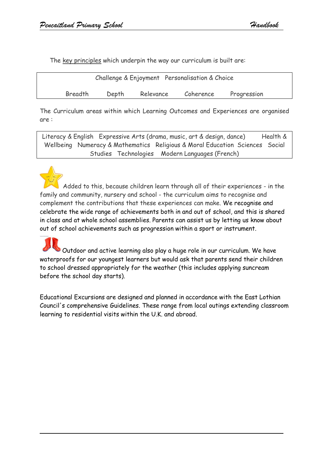The key principles which underpin the way our curriculum is built are:

| Challenge & Enjoyment Personalisation & Choice |       |           |           |             |  |
|------------------------------------------------|-------|-----------|-----------|-------------|--|
| Breadth                                        | Depth | Relevance | Coherence | Progression |  |

The Curriculum areas within which Learning Outcomes and Experiences are organised are :

Literacy & English Expressive Arts (drama, music, art & design, dance) Health & Wellbeing Numeracy & Mathematics Religious & Moral Education Sciences Social Studies Technologies Modern Languages (French)



Added to this, because children learn through all of their experiences - in the family and community, nursery and school - the curriculum aims to recognise and complement the contributions that these experiences can make. We recognise and celebrate the wide range of achievements both in and out of school, and this is shared in class and at whole school assemblies. Parents can assist us by letting us know about out of school achievements such as progression within a sport or instrument.

Outdoor and active learning also play a huge role in our curriculum. We have waterproofs for our youngest learners but would ask that parents send their children to school dressed appropriately for the weather (this includes applying suncream before the school day starts).

Educational Excursions are designed and planned in accordance with the East Lothian Council's comprehensive Guidelines. These range from local outings extending classroom learning to residential visits within the U.K. and abroad.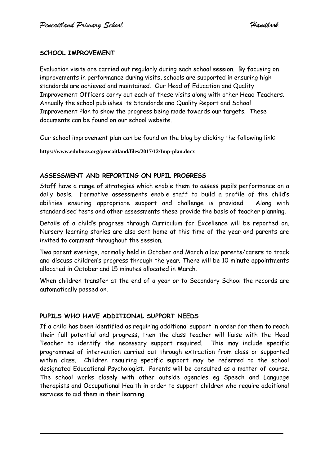# **SCHOOL IMPROVEMENT**

Evaluation visits are carried out regularly during each school session. By focusing on improvements in performance during visits, schools are supported in ensuring high standards are achieved and maintained. Our Head of Education and Quality Improvement Officers carry out each of these visits along with other Head Teachers. Annually the school publishes its Standards and Quality Report and School Improvement Plan to show the progress being made towards our targets. These documents can be found on our school website.

Our school improvement plan can be found on the blog by clicking the following link:

**https://www.edubuzz.org/pencaitland/files/2017/12/Imp-plan.docx**

## **ASSESSMENT AND REPORTING ON PUPIL PROGRESS**

Staff have a range of strategies which enable them to assess pupils performance on a daily basis. Formative assessments enable staff to build a profile of the child's abilities ensuring appropriate support and challenge is provided. Along with standardised tests and other assessments these provide the basis of teacher planning.

Details of a child's progress through Curriculum for Excellence will be reported on. Nursery learning stories are also sent home at this time of the year and parents are invited to comment throughout the session.

Two parent evenings, normally held in October and March allow parents/carers to track and discuss children's progress through the year. There will be 10 minute appointments allocated in October and 15 minutes allocated in March.

When children transfer at the end of a year or to Secondary School the records are automatically passed on.

#### **PUPILS WHO HAVE ADDITIONAL SUPPORT NEEDS**

If a child has been identified as requiring additional support in order for them to reach their full potential and progress, then the class teacher will liaise with the Head Teacher to identify the necessary support required. This may include specific programmes of intervention carried out through extraction from class or supported within class. Children requiring specific support may be referred to the school designated Educational Psychologist. Parents will be consulted as a matter of course. The school works closely with other outside agencies eg Speech and Language therapists and Occupational Health in order to support children who require additional services to aid them in their learning.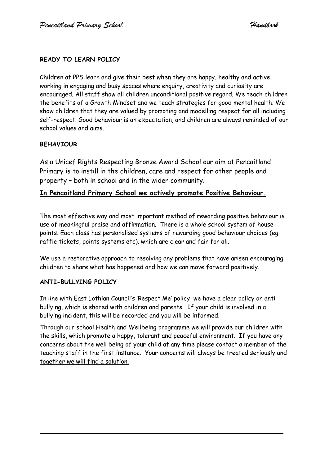# **READY TO LEARN POLICY**

Children at PPS learn and give their best when they are happy, healthy and active, working in engaging and busy spaces where enquiry, creativity and curiosity are encouraged. All staff show all children unconditional positive regard. We teach children the benefits of a Growth Mindset and we teach strategies for good mental health. We show children that they are valued by promoting and modelling respect for all including self-respect. Good behaviour is an expectation, and children are always reminded of our school values and aims.

## **BEHAVIOUR**

As a Unicef Rights Respecting Bronze Award School our aim at Pencaitland Primary is to instill in the children, care and respect for other people and property – both in school and in the wider community.

# **In Pencaitland Primary School we actively promote Positive Behaviour.**

The most effective way and most important method of rewarding positive behaviour is use of meaningful praise and affirmation. There is a whole school system of house points. Each class has personalised systems of rewarding good behaviour choices (eg raffle tickets, points systems etc). which are clear and fair for all.

We use a restorative approach to resolving any problems that have arisen encouraging children to share what has happened and how we can move forward positively.

## **ANTI-BULLYING POLICY**

In line with East Lothian Council's 'Respect Me' policy, we have a clear policy on anti bullying, which is shared with children and parents. If your child is involved in a bullying incident, this will be recorded and you will be informed.

Through our school Health and Wellbeing programme we will provide our children with the skills, which promote a happy, tolerant and peaceful environment. If you have any concerns about the well being of your child at any time please contact a member of the teaching staff in the first instance. Your concerns will always be treated seriously and together we will find a solution.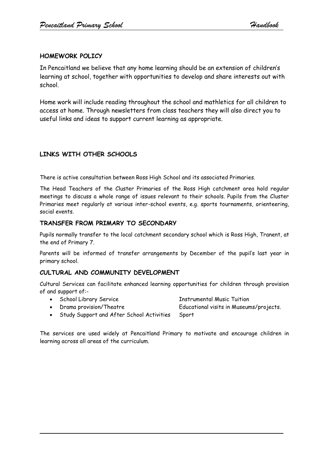### **HOMEWORK POLICY**

In Pencaitland we believe that any home learning should be an extension of children's learning at school, together with opportunities to develop and share interests out with school.

Home work will include reading throughout the school and mathletics for all children to access at home. Through newsletters from class teachers they will also direct you to useful links and ideas to support current learning as appropriate.

## **LINKS WITH OTHER SCHOOLS**

There is active consultation between Ross High School and its associated Primaries.

The Head Teachers of the Cluster Primaries of the Ross High catchment area hold regular meetings to discuss a whole range of issues relevant to their schools. Pupils from the Cluster Primaries meet regularly at various inter-school events, e.g. sports tournaments, orienteering, social events.

#### **TRANSFER FROM PRIMARY TO SECONDARY**

Pupils normally transfer to the local catchment secondary school which is Ross High, Tranent, at the end of Primary 7.

Parents will be informed of transfer arrangements by December of the pupil's last year in primary school.

## **CULTURAL AND COMMUNITY DEVELOPMENT**

Cultural Services can facilitate enhanced learning opportunities for children through provision of and support of:-

- School Library Service Instrumental Music Tuition
- 

- 
- Drama provision/Theatre Educational visits in Museums/projects.
- Study Support and After School Activities Sport

The services are used widely at Pencaitland Primary to motivate and encourage children in learning across all areas of the curriculum.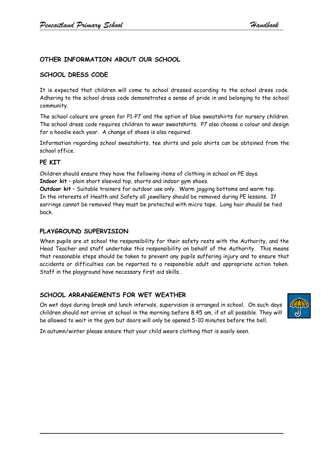### **OTHER INFORMATION ABOUT OUR SCHOOL**

#### **SCHOOL DRESS CODE**

It is expected that children will come to school dressed according to the school dress code. Adhering to the school dress code demonstrates a sense of pride in and belonging to the school community.

The school colours are green for P1-P7 and the option of blue sweatshirts for nursery children. The school dress code requires children to wear sweatshirts. P7 also choose a colour and design for a hoodie each year. A change of shoes is also required.

Information regarding school sweatshirts, tee shirts and polo shirts can be obtained from the school office.

#### **PE KIT**

Children should ensure they have the following items of clothing in school on PE days. **Indoor kit** – plain short sleeved top, shorts and indoor gym shoes.

**Outdoor kit** – Suitable trainers for outdoor use only. Warm jogging bottoms and warm top. In the interests of Health and Safety all jewellery should be removed during PE lessons. If earrings cannot be removed they must be protected with micro tape. Long hair should be tied back.

#### **PLAYGROUND SUPERVISION**

When pupils are at school the responsibility for their safety rests with the Authority, and the Head Teacher and staff undertake this responsibility on behalf of the Authority. This means that reasonable steps should be taken to prevent any pupils suffering injury and to ensure that accidents or difficulties can be reported to a responsible adult and appropriate action taken. Staff in the playground have necessary first aid skills..

#### **SCHOOL ARRANGEMENTS FOR WET WEATHER**

On wet days during break and lunch intervals, supervision is arranged in school. On such days children should not arrive at school in the morning before 8.45 am, if at all possible. They will be allowed to wait in the gym but doors will only be opened 5-10 minutes before the bell.



In autumn/winter please ensure that your child wears clothing that is easily seen.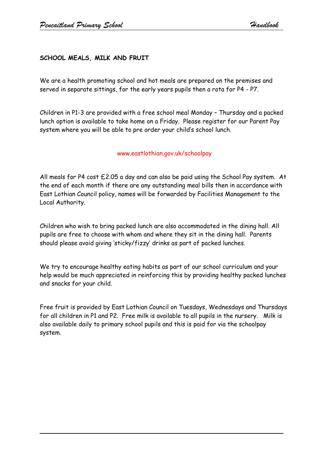# **SCHOOL MEALS, MILK AND FRUIT**

We are a health promoting school and hot meals are prepared on the premises and served in separate sittings, for the early years pupils then a rota for P4 - P7.

Children in P1-3 are provided with a free school meal Monday – Thursday and a packed lunch option is available to take home on a Friday. Please register for our Parent Pay system where you will be able to pre order your child's school lunch.

#### www.eastlothian.gov.uk/schoolpay

All meals for P4 cost £2.05 a day and can also be paid using the School Pay system. At the end of each month if there are any outstanding meal bills then in accordance with East Lothian Council policy, names will be forwarded by Facilities Management to the Local Authority.

Children who wish to bring packed lunch are also accommodated in the dining hall. All pupils are free to choose with whom and where they sit in the dining hall. Parents should please avoid giving 'sticky/fizzy' drinks as part of packed lunches.

We try to encourage healthy eating habits as part of our school curriculum and your help would be much appreciated in reinforcing this by providing healthy packed lunches and snacks for your child.

Free fruit is provided by East Lothian Council on Tuesdays, Wednesdays and Thursdays for all children in P1 and P2. Free milk is available to all pupils in the nursery. Milk is also available daily to primary school pupils and this is paid for via the schoolpay system.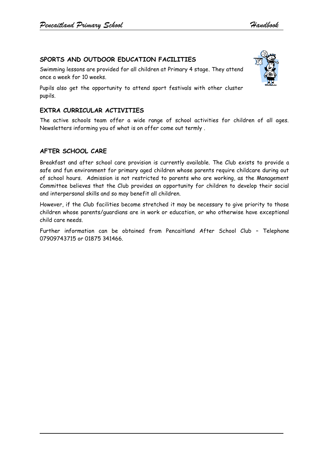# **SPORTS AND OUTDOOR EDUCATION FACILITIES**

Swimming lessons are provided for all children at Primary 4 stage. They attend once a week for 10 weeks.

Pupils also get the opportunity to attend sport festivals with other cluster pupils.

### **EXTRA CURRICULAR ACTIVITIES**

The active schools team offer a wide range of school activities for children of all ages. Newsletters informing you of what is on offer come out termly .

#### **AFTER SCHOOL CARE**

Breakfast and after school care provision is currently available. The Club exists to provide a safe and fun environment for primary aged children whose parents require childcare during out of school hours. Admission is not restricted to parents who are working, as the Management Committee believes that the Club provides an opportunity for children to develop their social and interpersonal skills and so may benefit all children.

However, if the Club facilities become stretched it may be necessary to give priority to those children whose parents/guardians are in work or education, or who otherwise have exceptional child care needs.

Further information can be obtained from Pencaitland After School Club – Telephone 07909743715 or 01875 341466.

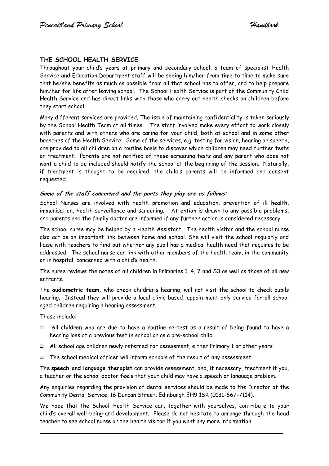### **THE SCHOOL HEALTH SERVICE**

Throughout your child's years at primary and secondary school, a team of specialist Health Service and Education Department staff will be seeing him/her from time to time to make sure that he/she benefits as much as possible from all that school has to offer, and to help prepare him/her for life after leaving school. The School Health Service is part of the Community Child Health Service and has direct links with those who carry out health checks on children before they start school.

Many different services are provided. The issue of maintaining confidentiality is taken seriously by the School Health Team at all times. The staff involved make every effort to work closely with parents and with others who are caring for your child, both at school and in some other branches of the Health Service. Some of the services, e.g. testing for vision, hearing or speech, are provided to all children on a routine basis to discover which children may need further tests or treatment. Parents are not notified of these screening tests and any parent who does not want a child to be included should notify the school at the beginning of the session. Naturally, if treatment is thought to be required, the child's parents will be informed and consent requested.

#### **Some of the staff concerned and the parts they play are as follows**:-

School Nurses are involved with health promotion and education, prevention of ill health, immunisation, health surveillance and screening. Attention is drawn to any possible problems, and parents and the family doctor are informed if any further action is considered necessary.

The school nurse may be helped by a Health Assistant. The health visitor and the school nurse also act as an important link between home and school. She will visit the school regularly and liaise with teachers to find out whether any pupil has a medical health need that requires to be addressed. The school nurse can link with other members of the health team, in the community or in hospital, concerned with a child's health.

The nurse reviews the notes of all children in Primaries 1, 4, 7 and S3 as well as those of all new entrants.

The **audiometric team,** who check children's hearing, will not visit the school to check pupils hearing. Instead they will provide a local clinic based, appointment only service for all school aged children requiring a hearing assessment.

These include:

- All children who are due to have a routine re-test as a result of being found to have a hearing loss at a previous test in school or as a pre-school child.
- All school age children newly referred for assessment, either Primary 1 or other years.
- $\Box$  The school medical officer will inform schools of the result of any assessment.

The **speech and language therapist** can provide assessment, and, if necessary, treatment if you, a teacher or the school doctor feels that your child may have a speech or language problem.

Any enquiries regarding the provision of dental services should be made to the Director of the Community Dental Service, 16 Duncan Street, Edinburgh EH9 1SR (0131-667-7114).

We hope that the School Health Service can, together with yourselves, contribute to your child's overall well-being and development. Please do not hesitate to arrange through the head teacher to see school nurse or the health visitor if you want any more information.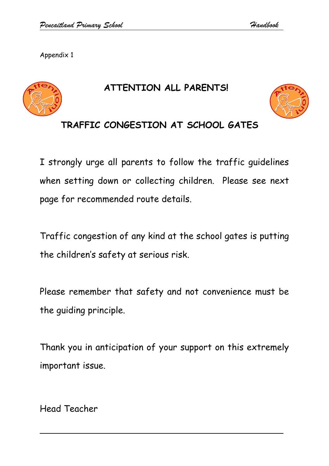Appendix 1



# **ATTENTION ALL PARENTS!**



# **TRAFFIC CONGESTION AT SCHOOL GATES**

I strongly urge all parents to follow the traffic guidelines when setting down or collecting children. Please see next page for recommended route details.

Traffic congestion of any kind at the school gates is putting the children's safety at serious risk.

Please remember that safety and not convenience must be the guiding principle.

Thank you in anticipation of your support on this extremely important issue.

Head Teacher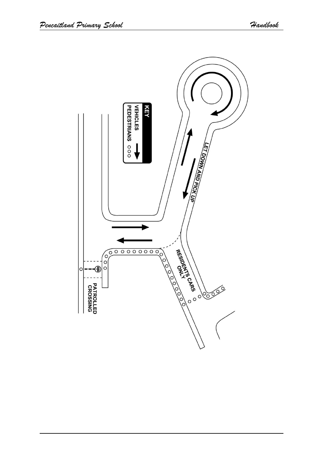